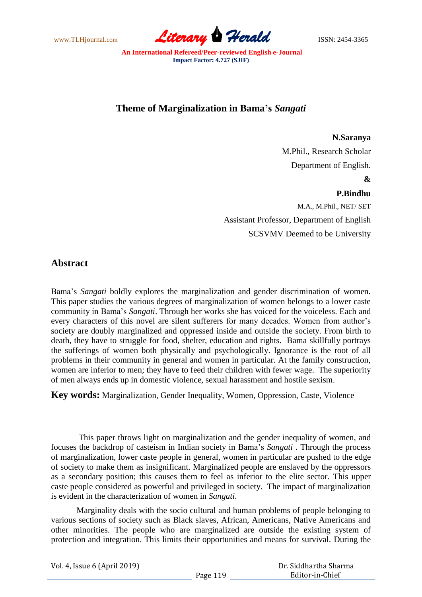www.TLHjournal.com **Literary Herald Herald** ISSN: 2454-3365

# **Theme of Marginalization in Bama's** *Sangati*

#### **N.Saranya**

M.Phil., Research Scholar Department of English.

### **&**

#### **P.Bindhu**

M.A., M.Phil., NET/ SET Assistant Professor, Department of English SCSVMV Deemed to be University

## **Abstract**

Bama"s *Sangati* boldly explores the marginalization and gender discrimination of women. This paper studies the various degrees of marginalization of women belongs to a lower caste community in Bama"s *Sangati*. Through her works she has voiced for the voiceless. Each and every characters of this novel are silent sufferers for many decades. Women from author's society are doubly marginalized and oppressed inside and outside the society. From birth to death, they have to struggle for food, shelter, education and rights. Bama skillfully portrays the sufferings of women both physically and psychologically. Ignorance is the root of all problems in their community in general and women in particular. At the family construction, women are inferior to men; they have to feed their children with fewer wage. The superiority of men always ends up in domestic violence, sexual harassment and hostile sexism.

**Key words:** Marginalization, Gender Inequality, Women, Oppression, Caste, Violence

This paper throws light on marginalization and the gender inequality of women, and focuses the backdrop of casteism in Indian society in Bama"s *Sangati* . Through the process of marginalization, lower caste people in general, women in particular are pushed to the edge of society to make them as insignificant. Marginalized people are enslaved by the oppressors as a secondary position; this causes them to feel as inferior to the elite sector. This upper caste people considered as powerful and privileged in society. The impact of marginalization is evident in the characterization of women in *Sangati*.

Marginality deals with the socio cultural and human problems of people belonging to various sections of society such as Black slaves, African, Americans, Native Americans and other minorities. The people who are marginalized are outside the existing system of protection and integration. This limits their opportunities and means for survival. During the

| Vol. 4, Issue 6 (April 2019) |          | Dr. Siddhartha Sharma |
|------------------------------|----------|-----------------------|
|                              | Page 119 | Editor-in-Chief       |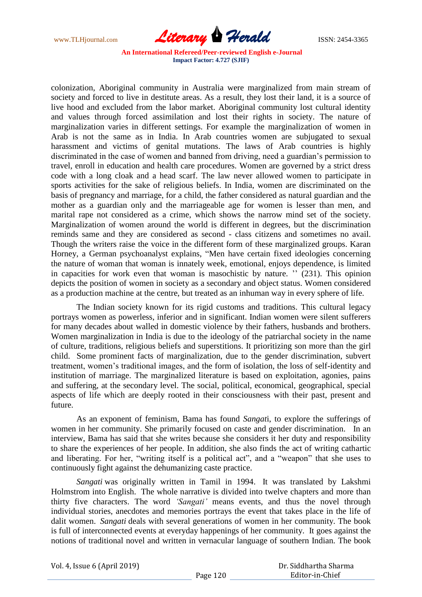www.TLHjournal.com **Literary Herald Herald** ISSN: 2454-3365

colonization, Aboriginal community in Australia were marginalized from main stream of society and forced to live in destitute areas. As a result, they lost their land, it is a source of live hood and excluded from the labor market. Aboriginal community lost cultural identity and values through forced assimilation and lost their rights in society. The nature of marginalization varies in different settings. For example the marginalization of women in Arab is not the same as in India. In Arab countries women are subjugated to sexual harassment and victims of genital mutations. The laws of Arab countries is highly discriminated in the case of women and banned from driving, need a guardian's permission to travel, enroll in education and health care procedures. Women are governed by a strict dress code with a long cloak and a head scarf. The law never allowed women to participate in sports activities for the sake of religious beliefs. In India, women are discriminated on the basis of pregnancy and marriage, for a child, the father considered as natural guardian and the mother as a guardian only and the marriageable age for women is lesser than men, and marital rape not considered as a crime, which shows the narrow mind set of the society. Marginalization of women around the world is different in degrees, but the discrimination reminds same and they are considered as second - class citizens and sometimes no avail. Though the writers raise the voice in the different form of these marginalized groups. Karan Horney, a German psychoanalyst explains, "Men have certain fixed ideologies concerning the nature of woman that woman is innately week, emotional, enjoys dependence, is limited in capacities for work even that woman is masochistic by nature. " (231). This opinion depicts the position of women in society as a secondary and object status. Women considered as a production machine at the centre, but treated as an inhuman way in every sphere of life.

The Indian society known for its rigid customs and traditions. This cultural legacy portrays women as powerless, inferior and in significant. Indian women were silent sufferers for many decades about walled in domestic violence by their fathers, husbands and brothers. Women marginalization in India is due to the ideology of the patriarchal society in the name of culture, traditions, religious beliefs and superstitions. It prioritizing son more than the girl child. Some prominent facts of marginalization, due to the gender discrimination, subvert treatment, women"s traditional images, and the form of isolation, the loss of self-identity and institution of marriage. The marginalized literature is based on exploitation, agonies, pains and suffering, at the secondary level. The social, political, economical, geographical, special aspects of life which are deeply rooted in their consciousness with their past, present and future.

As an exponent of feminism, Bama has found *Sangat*i, to explore the sufferings of women in her community. She primarily focused on caste and gender discrimination. In an interview, Bama has said that she writes because she considers it her duty and responsibility to share the experiences of her people. In addition, she also finds the act of writing cathartic and liberating. For her, "writing itself is a political act", and a "weapon" that she uses to continuously fight against the dehumanizing caste practice.

*Sangati* was originally written in Tamil in 1994. It was translated by Lakshmi Holmstrom into English. The whole narrative is divided into twelve chapters and more than thirty five characters. The word *'Sangati'* means events, and thus the novel through individual stories, anecdotes and memories portrays the event that takes place in the life of dalit women. *Sangati* deals with several generations of women in her community. The book is full of interconnected events at everyday happenings of her community. It goes against the notions of traditional novel and written in vernacular language of southern Indian. The book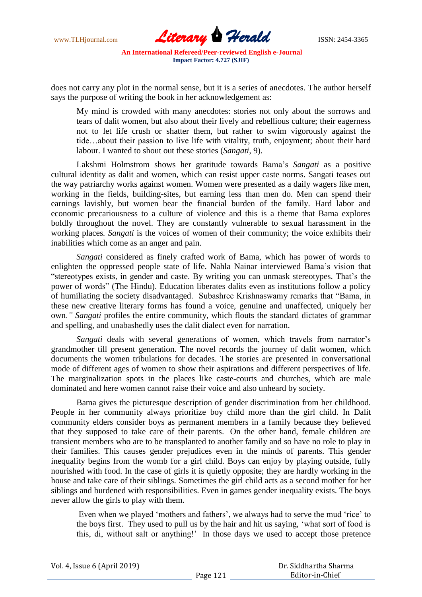www.TLHjournal.com **Literary Herald Herald** ISSN: 2454-3365

does not carry any plot in the normal sense, but it is a series of anecdotes. The author herself says the purpose of writing the book in her acknowledgement as:

My mind is crowded with many anecdotes: stories not only about the sorrows and tears of dalit women, but also about their lively and rebellious culture; their eagerness not to let life crush or shatter them, but rather to swim vigorously against the tide…about their passion to live life with vitality, truth, enjoyment; about their hard labour. I wanted to shout out these stories (*Sangati,* 9).

Lakshmi Holmstrom shows her gratitude towards Bama"s *Sangati* as a positive cultural identity as dalit and women, which can resist upper caste norms. Sangati teases out the way patriarchy works against women. Women were presented as a daily wagers like men, working in the fields, building-sites, but earning less than men do. Men can spend their earnings lavishly, but women bear the financial burden of the family. Hard labor and economic precariousness to a culture of violence and this is a theme that Bama explores boldly throughout the novel. They are constantly vulnerable to sexual harassment in the working places*. Sangati* is the voices of women of their community; the voice exhibits their inabilities which come as an anger and pain.

*Sangati* considered as finely crafted work of Bama, which has power of words to enlighten the oppressed people state of life. Nahla Nainar interviewed Bama"s vision that "stereotypes exists, in gender and caste. By writing you can unmask stereotypes. That"s the power of words" (The Hindu). Education liberates dalits even as institutions follow a policy of humiliating the society disadvantaged. Subashree Krishnaswamy remarks that "Bama, in these new creative literary forms has found a voice, genuine and unaffected, uniquely her own*." Sangati* profiles the entire community, which flouts the standard dictates of grammar and spelling, and unabashedly uses the dalit dialect even for narration.

*Sangati* deals with several generations of women, which travels from narrator's grandmother till present generation. The novel records the journey of dalit women, which documents the women tribulations for decades. The stories are presented in conversational mode of different ages of women to show their aspirations and different perspectives of life. The marginalization spots in the places like caste-courts and churches, which are male dominated and here women cannot raise their voice and also unheard by society.

Bama gives the picturesque description of gender discrimination from her childhood. People in her community always prioritize boy child more than the girl child. In Dalit community elders consider boys as permanent members in a family because they believed that they supposed to take care of their parents. On the other hand, female children are transient members who are to be transplanted to another family and so have no role to play in their families. This causes gender prejudices even in the minds of parents. This gender inequality begins from the womb for a girl child. Boys can enjoy by playing outside, fully nourished with food. In the case of girls it is quietly opposite; they are hardly working in the house and take care of their siblings. Sometimes the girl child acts as a second mother for her siblings and burdened with responsibilities. Even in games gender inequality exists. The boys never allow the girls to play with them.

Even when we played 'mothers and fathers', we always had to serve the mud 'rice' to the boys first. They used to pull us by the hair and hit us saying, "what sort of food is this, di, without salt or anything!" In those days we used to accept those pretence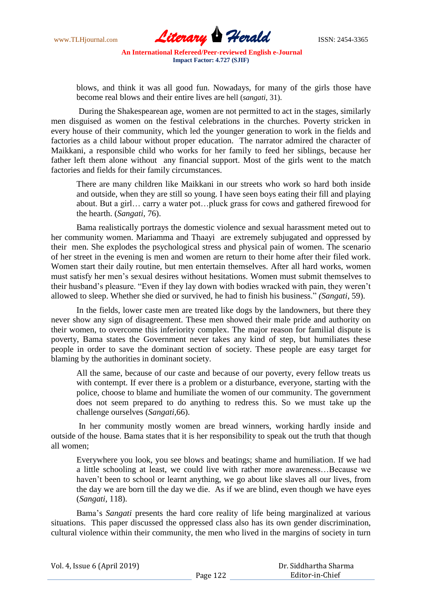www.TLHjournal.com **Literary Herald Herald** ISSN: 2454-3365

blows, and think it was all good fun. Nowadays, for many of the girls those have become real blows and their entire lives are hell (*sangati*, 31).

During the Shakespearean age, women are not permitted to act in the stages, similarly men disguised as women on the festival celebrations in the churches. Poverty stricken in every house of their community, which led the younger generation to work in the fields and factories as a child labour without proper education. The narrator admired the character of Maikkani, a responsible child who works for her family to feed her siblings, because her father left them alone without any financial support. Most of the girls went to the match factories and fields for their family circumstances.

There are many children like Maikkani in our streets who work so hard both inside and outside, when they are still so young. I have seen boys eating their fill and playing about. But a girl… carry a water pot…pluck grass for cows and gathered firewood for the hearth. (*Sangati,* 76).

Bama realistically portrays the domestic violence and sexual harassment meted out to her community women. Mariamma and Thaayi are extremely subjugated and oppressed by their men. She explodes the psychological stress and physical pain of women. The scenario of her street in the evening is men and women are return to their home after their filed work. Women start their daily routine, but men entertain themselves. After all hard works, women must satisfy her men"s sexual desires without hesitations. Women must submit themselves to their husband"s pleasure. "Even if they lay down with bodies wracked with pain, they weren"t allowed to sleep. Whether she died or survived, he had to finish his business." *(Sangati*, 59).

In the fields, lower caste men are treated like dogs by the landowners, but there they never show any sign of disagreement. These men showed their male pride and authority on their women, to overcome this inferiority complex. The major reason for familial dispute is poverty, Bama states the Government never takes any kind of step, but humiliates these people in order to save the dominant section of society. These people are easy target for blaming by the authorities in dominant society.

All the same, because of our caste and because of our poverty, every fellow treats us with contempt. If ever there is a problem or a disturbance, everyone, starting with the police, choose to blame and humiliate the women of our community. The government does not seem prepared to do anything to redress this. So we must take up the challenge ourselves (*Sangati,*66).

In her community mostly women are bread winners, working hardly inside and outside of the house. Bama states that it is her responsibility to speak out the truth that though all women;

Everywhere you look, you see blows and beatings; shame and humiliation. If we had a little schooling at least, we could live with rather more awareness…Because we haven"t been to school or learnt anything, we go about like slaves all our lives, from the day we are born till the day we die. As if we are blind, even though we have eyes (*Sangati,* 118).

Bama"s *Sangati* presents the hard core reality of life being marginalized at various situations. This paper discussed the oppressed class also has its own gender discrimination, cultural violence within their community, the men who lived in the margins of society in turn